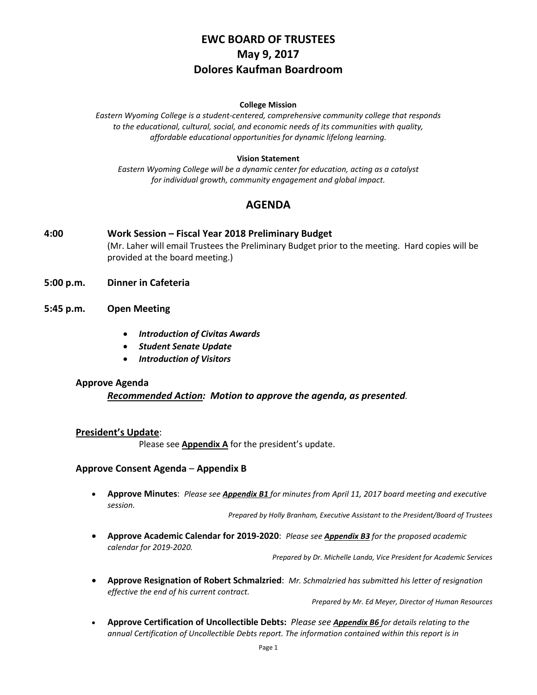# **EWC BOARD OF TRUSTEES May 9, 2017 Dolores Kaufman Boardroom**

#### **College Mission**

*Eastern Wyoming College is a student-centered, comprehensive community college that responds to the educational, cultural, social, and economic needs of its communities with quality, affordable educational opportunities for dynamic lifelong learning.*

#### **Vision Statement**

*Eastern Wyoming College will be a dynamic center for education, acting as a catalyst for individual growth, community engagement and global impact.*

## **AGENDA**

- **4:00 Work Session – Fiscal Year 2018 Preliminary Budget** (Mr. Laher will email Trustees the Preliminary Budget prior to the meeting. Hard copies will be provided at the board meeting.)
- **5:00 p.m. Dinner in Cafeteria**
- **5:45 p.m. Open Meeting**
	- *Introduction of Civitas Awards*
	- *Student Senate Update*
	- *Introduction of Visitors*

#### **Approve Agenda**

### *Recommended Action: Motion to approve the agenda, as presented.*

#### **President's Update**:

Please see **Appendix A** for the president's update.

### **Approve Consent Agenda** – **Appendix B**

• **Approve Minutes**: *Please see Appendix B1 for minutes from April 11, 2017 board meeting and executive session.*

*Prepared by Holly Branham, Executive Assistant to the President/Board of Trustees*

• **Approve Academic Calendar for 2019-2020**: *Please see Appendix B3 for the proposed academic calendar for 2019-2020.*

*Prepared by Dr. Michelle Landa, Vice President for Academic Services*

• **Approve Resignation of Robert Schmalzried**: *Mr. Schmalzried has submitted his letter of resignation effective the end of his current contract.*

*Prepared by Mr. Ed Meyer, Director of Human Resources*

• **Approve Certification of Uncollectible Debts:** *Please see Appendix B6 for details relating to the annual Certification of Uncollectible Debts report. The information contained within this report is in*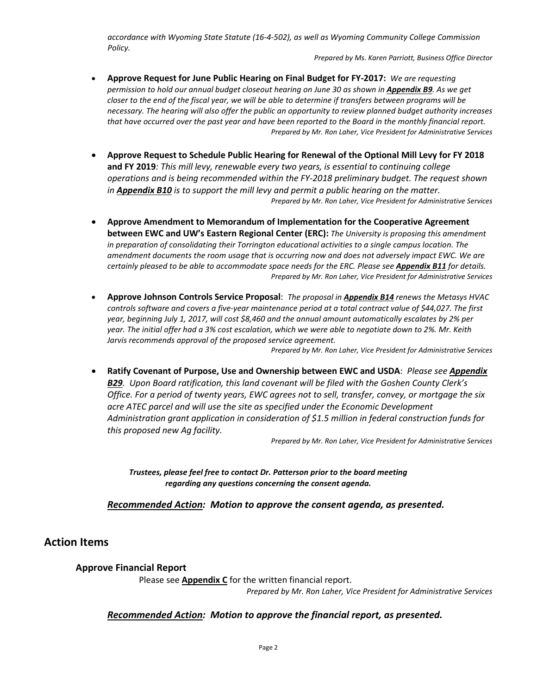*accordance with Wyoming State Statute (16-4-502), as well as Wyoming Community College Commission Policy.* 

*Prepared by Ms. Karen Parriott, Business Office Director*

- **Approve Request for June Public Hearing on Final Budget for FY-2017:** *We are requesting permission to hold our annual budget closeout hearing on June 30 as shown in Appendix B9. As we get closer to the end of the fiscal year, we will be able to determine if transfers between programs will be necessary. The hearing will also offer the public an opportunity to review planned budget authority increases that have occurred over the past year and have been reported to the Board in the monthly financial report. Prepared by Mr. Ron Laher, Vice President for Administrative Services*
- **Approve Request to Schedule Public Hearing for Renewal of the Optional Mill Levy for FY 2018 and FY 2019***: This mill levy, renewable every two years, is essential to continuing college operations and is being recommended within the FY-2018 preliminary budget. The request shown in Appendix B10 is to support the mill levy and permit a public hearing on the matter. Prepared by Mr. Ron Laher, Vice President for Administrative Services*
- **Approve Amendment to Memorandum of Implementation for the Cooperative Agreement between EWC and UW's Eastern Regional Center (ERC):** *The University is proposing this amendment in preparation of consolidating their Torrington educational activities to a single campus location. The amendment documents the room usage that is occurring now and does not adversely impact EWC. We are certainly pleased to be able to accommodate space needs for the ERC. Please see Appendix B11 for details. Prepared by Mr. Ron Laher, Vice President for Administrative Services*
- **Approve Johnson Controls Service Proposal**: *The proposal in Appendix B14 renews the Metasys HVAC controls software and covers a five-year maintenance period at a total contract value of \$44,027. The first year, beginning July 1, 2017, will cost \$8,460 and the annual amount automatically escalates by 2% per year. The initial offer had a 3% cost escalation, which we were able to negotiate down to 2%. Mr. Keith Jarvis recommends approval of the proposed service agreement.*

*Prepared by Mr. Ron Laher, Vice President for Administrative Services*

• **Ratify Covenant of Purpose, Use and Ownership between EWC and USDA**: *Please see Appendix B29. Upon Board ratification, this land covenant will be filed with the Goshen County Clerk's Office. For a period of twenty years, EWC agrees not to sell, transfer, convey, or mortgage the six acre ATEC parcel and will use the site as specified under the Economic Development Administration grant application in consideration of \$1.5 million in federal construction funds for this proposed new Ag facility.*

*Prepared by Mr. Ron Laher, Vice President for Administrative Services*

*Trustees, please feel free to contact Dr. Patterson prior to the board meeting regarding any questions concerning the consent agenda.*

*Recommended Action: Motion to approve the consent agenda, as presented.*

## **Action Items**

### **Approve Financial Report**

Please see **Appendix C** for the written financial report. *Prepared by Mr. Ron Laher, Vice President for Administrative Services*

## *Recommended Action: Motion to approve the financial report, as presented.*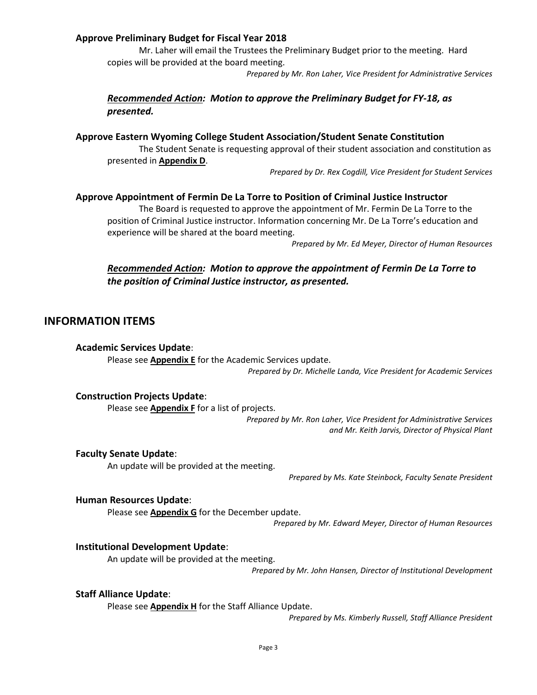## **Approve Preliminary Budget for Fiscal Year 2018**

Mr. Laher will email the Trustees the Preliminary Budget prior to the meeting. Hard copies will be provided at the board meeting.

*Prepared by Mr. Ron Laher, Vice President for Administrative Services*

## *Recommended Action: Motion to approve the Preliminary Budget for FY-18, as presented.*

### **Approve Eastern Wyoming College Student Association/Student Senate Constitution**

The Student Senate is requesting approval of their student association and constitution as presented in **Appendix D**.

*Prepared by Dr. Rex Cogdill, Vice President for Student Services*

#### **Approve Appointment of Fermin De La Torre to Position of Criminal Justice Instructor**

The Board is requested to approve the appointment of Mr. Fermin De La Torre to the position of Criminal Justice instructor. Information concerning Mr. De La Torre's education and experience will be shared at the board meeting.

*Prepared by Mr. Ed Meyer, Director of Human Resources*

## *Recommended Action: Motion to approve the appointment of Fermin De La Torre to the position of Criminal Justice instructor, as presented.*

### **INFORMATION ITEMS**

#### **Academic Services Update**:

Please see **Appendix E** for the Academic Services update. *Prepared by Dr. Michelle Landa, Vice President for Academic Services*

#### **Construction Projects Update**:

Please see **Appendix F** for a list of projects.

*Prepared by Mr. Ron Laher, Vice President for Administrative Services and Mr. Keith Jarvis, Director of Physical Plant*

#### **Faculty Senate Update**:

An update will be provided at the meeting.

*Prepared by Ms. Kate Steinbock, Faculty Senate President*

#### **Human Resources Update**:

Please see **Appendix G** for the December update.

*Prepared by Mr. Edward Meyer, Director of Human Resources*

#### **Institutional Development Update**:

An update will be provided at the meeting.

*Prepared by Mr. John Hansen, Director of Institutional Development*

#### **Staff Alliance Update**:

Please see **Appendix H** for the Staff Alliance Update.

*Prepared by Ms. Kimberly Russell, Staff Alliance President*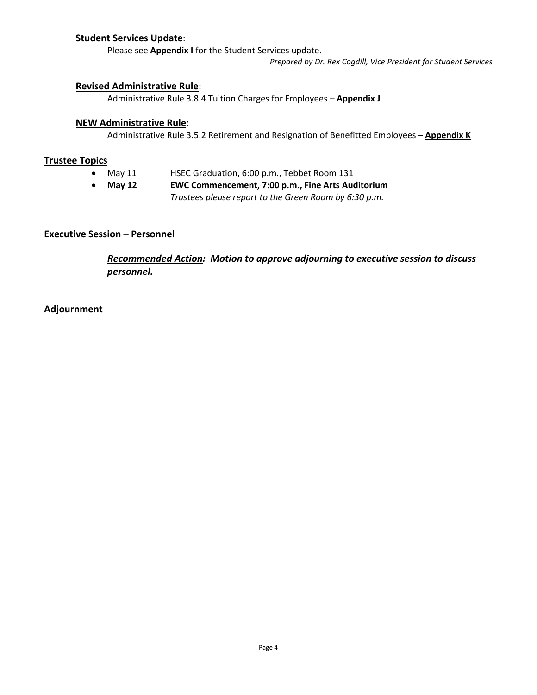## **Student Services Update**:

Please see **Appendix I** for the Student Services update.

*Prepared by Dr. Rex Cogdill, Vice President for Student Services*

### **Revised Administrative Rule**:

Administrative Rule 3.8.4 Tuition Charges for Employees – **Appendix J**

### **NEW Administrative Rule**:

Administrative Rule 3.5.2 Retirement and Resignation of Benefitted Employees – **Appendix K**

### **Trustee Topics**

- May 11 HSEC Graduation, 6:00 p.m., Tebbet Room 131
- **May 12 EWC Commencement, 7:00 p.m., Fine Arts Auditorium** *Trustees please report to the Green Room by 6:30 p.m.*

## **Executive Session – Personnel**

*Recommended Action: Motion to approve adjourning to executive session to discuss personnel.*

## **Adjournment**